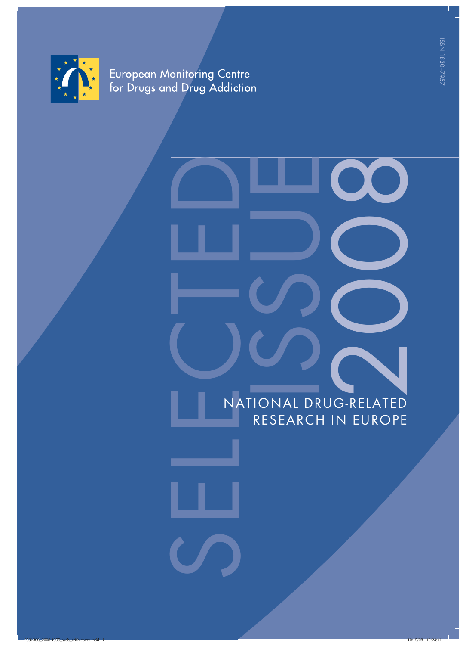

European Monitoring Centre<br>for Drugs and Drug Addiction

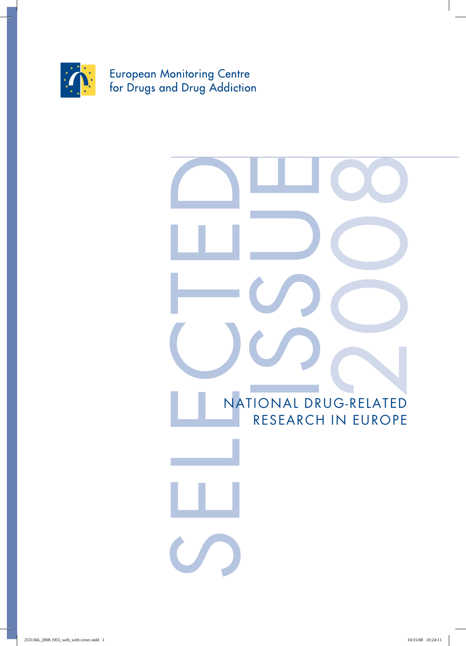

# **SELECTED**<br>SELECTIONAL DRUG-RELATED<br>SESEARCH IN EUROPE **RESEARCH IN EUROPE**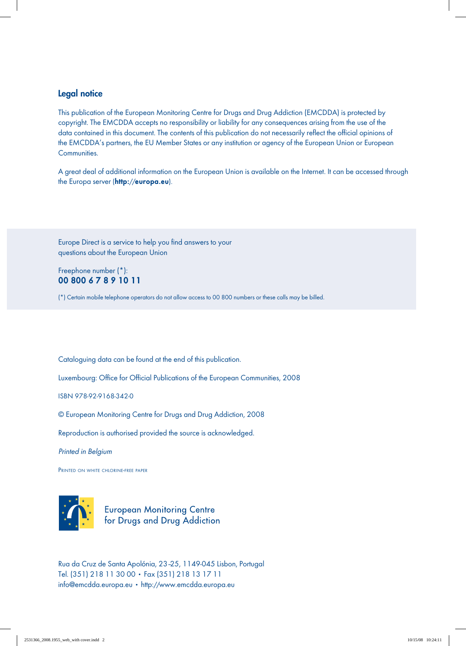#### Legal notice

This publication of the European Monitoring Centre for Drugs and Drug Addiction (EMCDDA) is protected by copyright. The EMCDDA accepts no responsibility or liability for any consequences arising from the use of the data contained in this document. The contents of this publication do not necessarily reflect the official opinions of the EMCDDA's partners, the EU Member States or any institution or agency of the European Union or European Communities.

A great deal of additional information on the European Union is available on the Internet. It can be accessed through the Europa server (**http:**//**europa.eu**).

Europe Direct is a service to help you find answers to your questions about the European Union

Freephone number (\*): **00 800 6 7 8 9 10 11**

(\*) Certain mobile telephone operators do not allow access to 00 800 numbers or these calls may be billed.

Cataloguing data can be found at the end of this publication.

Luxembourg: Office for Official Publications of the European Communities, 2008

ISBN 978-92-9168-342-0

© European Monitoring Centre for Drugs and Drug Addiction, 2008

Reproduction is authorised provided the source is acknowledged.

Printed in Belgium

Printed on white chlorine-free paper



European Monitoring Centre<br>for Drugs and Drug Addiction

Rua da Cruz de Santa Apolónia, 23–25, 1149-045 Lisbon, Portugal Tel. (351) 218 11 30 00 • Fax (351) 218 13 17 11 info@emcdda.europa.eu • http://www.emcdda.europa.eu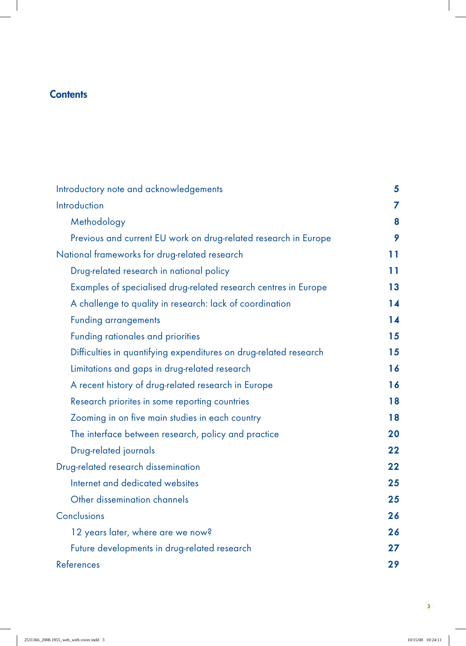# **Contents**

| Introductory note and acknowledgements                            | 5  |
|-------------------------------------------------------------------|----|
| Introduction                                                      | 7  |
| Methodology                                                       | 8  |
| Previous and current EU work on drug-related research in Europe   | 9  |
| National frameworks for drug-related research                     | 11 |
| Drug-related research in national policy                          | 11 |
| Examples of specialised drug-related research centres in Europe   | 13 |
| A challenge to quality in research: lack of coordination          | 14 |
| <b>Funding arrangements</b>                                       | 14 |
| <b>Funding rationales and priorities</b>                          | 15 |
| Difficulties in quantifying expenditures on drug-related research | 15 |
| Limitations and gaps in drug-related research                     | 16 |
| A recent history of drug-related research in Europe               | 16 |
| Research priorites in some reporting countries                    | 18 |
| Zooming in on five main studies in each country                   | 18 |
| The interface between research, policy and practice               | 20 |
| Drug-related journals                                             | 22 |
| Drug-related research dissemination                               | 22 |
| Internet and dedicated websites                                   | 25 |
| Other dissemination channels                                      | 25 |
| Conclusions                                                       | 26 |
| 12 years later, where are we now?                                 | 26 |
| Future developments in drug-related research                      | 27 |
| References                                                        | 29 |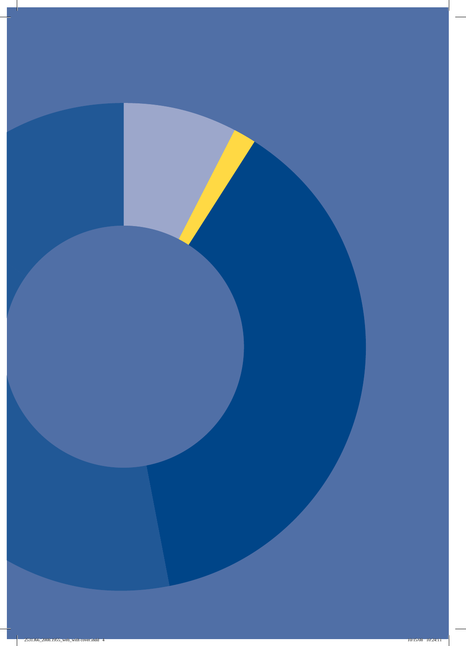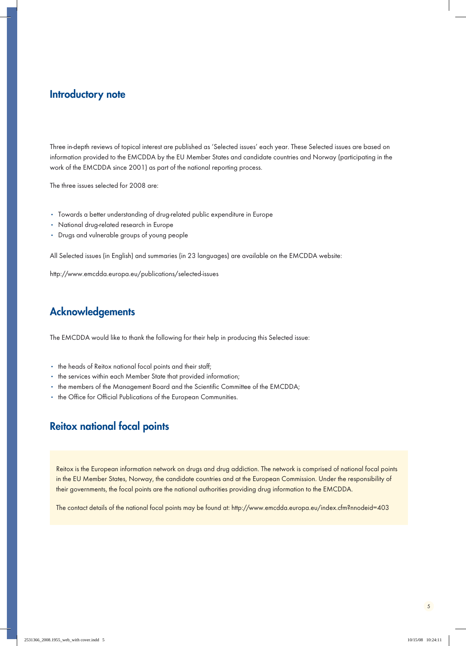# Introductory note

Three in-depth reviews of topical interest are published as 'Selected issues' each year. These Selected issues are based on information provided to the EMCDDA by the EU Member States and candidate countries and Norway (participating in the work of the EMCDDA since 2001) as part of the national reporting process.

The three issues selected for 2008 are:

- Towards a better understanding of drug-related public expenditure in Europe
- National drug-related research in Europe
- Drugs and vulnerable groups of young people

All Selected issues (in English) and summaries (in 23 languages) are available on the EMCDDA website:

http://www.emcdda.europa.eu/publications/selected-issues

# **Acknowledgements**

The EMCDDA would like to thank the following for their help in producing this Selected issue:

- the heads of Reitox national focal points and their staff;
- the services within each Member State that provided information;
- the members of the Management Board and the Scientific Committee of the EMCDDA;
- the Office for Official Publications of the European Communities.

# Reitox national focal points

Reitox is the European information network on drugs and drug addiction. The network is comprised of national focal points in the EU Member States, Norway, the candidate countries and at the European Commission. Under the responsibility of their governments, the focal points are the national authorities providing drug information to the EMCDDA.

The contact details of the national focal points may be found at: http://www.emcdda.europa.eu/index.cfm?nnodeid=403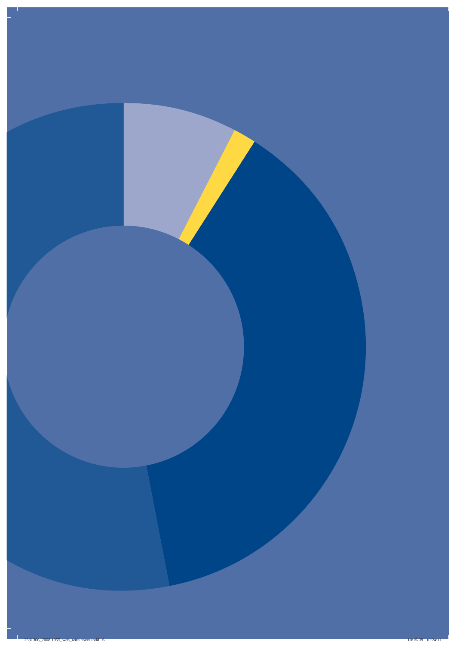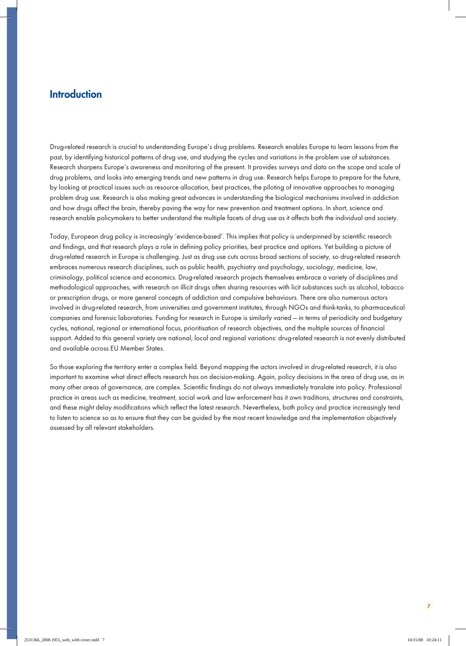# **Introduction**

Drug-related research is crucial to understanding Europe's drug problems. Research enables Europe to learn lessons from the past, by identifying historical patterns of drug use, and studying the cycles and variations in the problem use of substances. Research sharpens Europe's awareness and monitoring of the present. It provides surveys and data on the scope and scale of drug problems, and looks into emerging trends and new patterns in drug use. Research helps Europe to prepare for the future, by looking at practical issues such as resource allocation, best practices, the piloting of innovative approaches to managing problem drug use. Research is also making great advances in understanding the biological mechanisms involved in addiction and how drugs affect the brain, thereby paving the way for new prevention and treatment options. In short, science and research enable policymakers to better understand the multiple facets of drug use as it affects both the individual and society.

Today, European drug policy is increasingly 'evidence-based'. This implies that policy is underpinned by scientific research and findings, and that research plays a role in defining policy priorities, best practice and options. Yet building a picture of drug-related research in Europe is challenging. Just as drug use cuts across broad sections of society, so drug-related research embraces numerous research disciplines, such as public health, psychiatry and psychology, sociology, medicine, law, criminology, political science and economics. Drug-related research projects themselves embrace a variety of disciplines and methodological approaches, with research on illicit drugs often sharing resources with licit substances such as alcohol, tobacco or prescription drugs, or more general concepts of addiction and compulsive behaviours. There are also numerous actors involved in drug-related research, from universities and government institutes, through NGOs and think-tanks, to pharmaceutical companies and forensic laboratories. Funding for research in Europe is similarly varied — in terms of periodicity and budgetary cycles, national, regional or international focus, prioritisation of research objectives, and the multiple sources of financial support. Added to this general variety are national, local and regional variations: drug-related research is not evenly distributed and available across EU Member States.

So those exploring the territory enter a complex field. Beyond mapping the actors involved in drug-related research, it is also important to examine what direct effects research has on decision-making. Again, policy decisions in the area of drug use, as in many other areas of governance, are complex. Scientific findings do not always immediately translate into policy. Professional practice in areas such as medicine, treatment, social work and law enforcement has it own traditions, structures and constraints, and these might delay modifications which reflect the latest research. Nevertheless, both policy and practice increasingly tend to listen to science so as to ensure that they can be guided by the most recent knowledge and the implementation objectively assessed by all relevant stakeholders.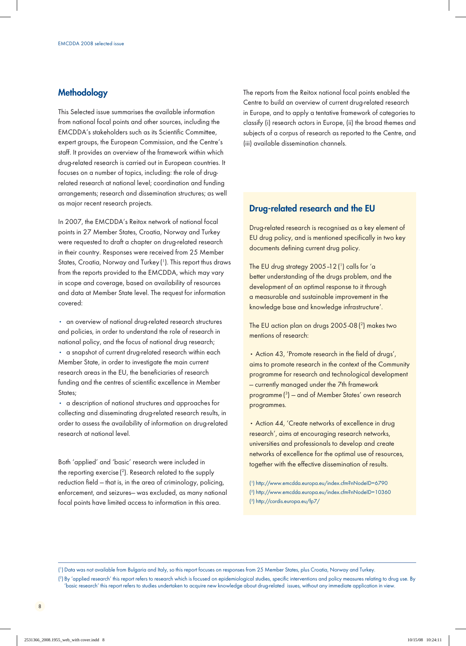#### **Methodology**

This Selected issue summarises the available information from national focal points and other sources, including the EMCDDA's stakeholders such as its Scientific Committee, expert groups, the European Commission, and the Centre's staff. It provides an overview of the framework within which drug-related research is carried out in European countries. It focuses on a number of topics, including: the role of drugrelated research at national level; coordination and funding arrangements; research and dissemination structures; as well as major recent research projects.

In 2007, the EMCDDA's Reitox network of national focal points in 27 Member States, Croatia, Norway and Turkey were requested to draft a chapter on drug-related research in their country. Responses were received from 25 Member States, Croatia, Norway and Turkey ( 1 ). This report thus draws from the reports provided to the EMCDDA, which may vary in scope and coverage, based on availability of resources and data at Member State level. The request for information covered:

• an overview of national drug-related research structures and policies, in order to understand the role of research in national policy, and the focus of national drug research;

• a snapshot of current drug-related research within each Member State, in order to investigate the main current research areas in the EU, the beneficiaries of research funding and the centres of scientific excellence in Member States:

• a description of national structures and approaches for collecting and disseminating drug-related research results, in order to assess the availability of information on drug-related research at national level.

Both 'applied' and 'basic' research were included in the reporting exercise  $(2)$ . Research related to the supply reduction field — that is, in the area of criminology, policing, enforcement, and seizures— was excluded, as many national focal points have limited access to information in this area.

The reports from the Reitox national focal points enabled the Centre to build an overview of current drug-related research in Europe, and to apply a tentative framework of categories to classify (i) research actors in Europe, (ii) the broad themes and subjects of a corpus of research as reported to the Centre, and (iii) available dissemination channels.

#### Drug-related research and the EU

Drug-related research is recognised as a key element of EU drug policy, and is mentioned specifically in two key documents defining current drug policy.

The EU drug strategy 2005–12( 1 ) calls for 'a better understanding of the drugs problem, and the development of an optimal response to it through a measurable and sustainable improvement in the knowledge base and knowledge infrastructure'.

The EU action plan on drugs 2005–08( 2 ) makes two mentions of research:

• Action 43, 'Promote research in the field of drugs', aims to promote research in the context of the Community programme for research and technological development — currently managed under the 7th framework programme ( 3 ) — and of Member States' own research programmes.

• Action 44, 'Create networks of excellence in drug research', aims at encouraging research networks, universities and professionals to develop and create networks of excellence for the optimal use of resources, together with the effective dissemination of results.

( 1 ) http://www.emcdda.europa.eu/index.cfm?nNodeID=6790 ( 2 ) http://www.emcdda.europa.eu/index.cfm?nNodeID=10360 ( 3 ) http://cordis.europa.eu/fp7/

( 1 ) Data was not available from Bulgaria and Italy, so this report focuses on responses from 25 Member States, plus Croatia, Norway and Turkey.

( 2 ) By 'applied research' this report refers to research which is focused on epidemiological studies, specific interventions and policy measures relating to drug use. By 'basic research' this report refers to studies undertaken to acquire new knowledge about drug-related issues, without any immediate application in view.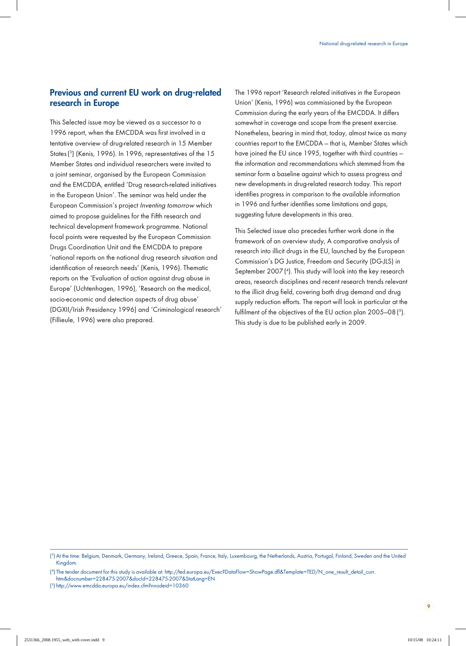#### Previous and current EU work on drug-related research in Europe

This Selected issue may be viewed as a successor to a 1996 report, when the EMCDDA was first involved in a tentative overview of drug-related research in 15 Member States<sup>(3</sup>) (Kenis, 1996). In 1996, representatives of the 15 Member States and individual researchers were invited to a joint seminar, organised by the European Commission and the EMCDDA, entitled 'Drug research-related initiatives in the European Union'. The seminar was held under the European Commission's project Inventing tomorrow which aimed to propose guidelines for the Fifth research and technical development framework programme. National focal points were requested by the European Commission Drugs Coordination Unit and the EMCDDA to prepare 'national reports on the national drug research situation and identification of research needs' (Kenis, 1996). Thematic reports on the 'Evaluation of action against drug abuse in Europe' (Uchtenhagen, 1996), 'Research on the medical, socio-economic and detection aspects of drug abuse' (DGXII/Irish Presidency 1996) and 'Criminological research' (Fillieule, 1996) were also prepared.

The 1996 report 'Research related initiatives in the European Union' (Kenis, 1996) was commissioned by the European Commission during the early years of the EMCDDA. It differs somewhat in coverage and scope from the present exercise. Nonetheless, bearing in mind that, today, almost twice as many countries report to the EMCDDA — that is, Member States which have joined the EU since 1995, together with third countries the information and recommendations which stemmed from the seminar form a baseline against which to assess progress and new developments in drug-related research today. This report identifies progress in comparison to the available information in 1996 and further identifies some limitations and gaps, suggesting future developments in this area.

This Selected issue also precedes further work done in the framework of an overview study, A comparative analysis of research into illicit drugs in the EU, launched by the European Commission's DG Justice, Freedom and Security (DG-JLS) in September 2007( 4 ). This study will look into the key research areas, research disciplines and recent research trends relevant to the illicit drug field, covering both drug demand and drug supply reduction efforts. The report will look in particular at the fulfilment of the objectives of the EU action plan 2005—08( 5 ). This study is due to be published early in 2009.

<sup>(</sup> 3 ) At the time: Belgium, Denmark, Germany, Ireland, Greece, Spain, France, Italy, Luxembourg, the Netherlands, Austria, Portugal, Finland, Sweden and the United Kingdom.

<sup>(</sup> 4 ) The tender document for this study is available at: http://ted.europa.eu/Exec?DataFlow=ShowPage.dfl&Template=TED/N\_one\_result\_detail\_curr.

htm&docnumber=228475-2007&docId=228475-2007&StatLang=EN

<sup>(</sup> 5 ) http://www.emcdda.europa.eu/index.cfm?nnodeid=10360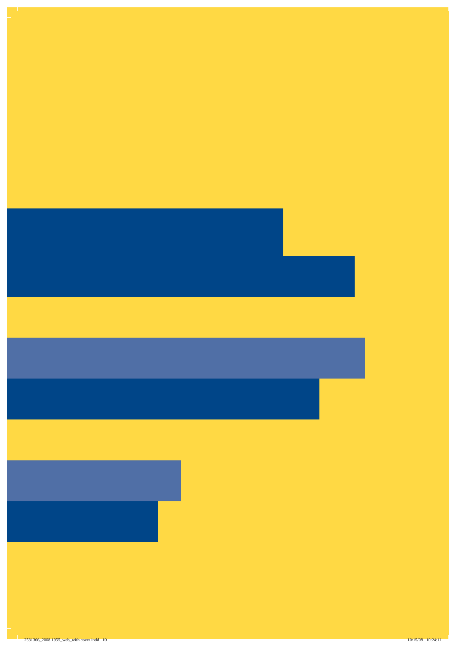

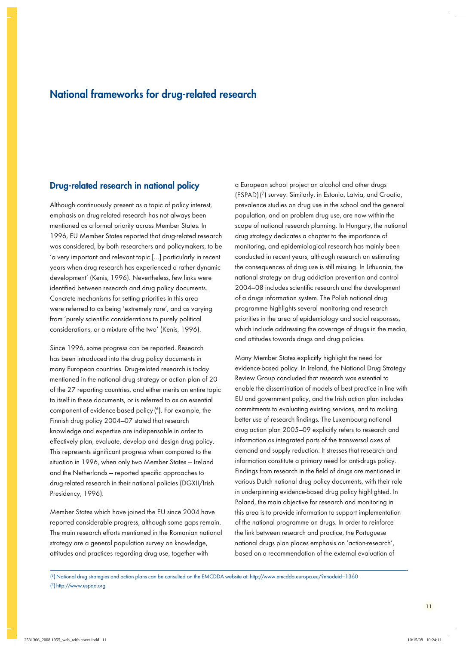# National frameworks for drug-related research

#### Drug-related research in national policy

Although continuously present as a topic of policy interest, emphasis on drug-related research has not always been mentioned as a formal priority across Member States. In 1996, EU Member States reported that drug-related research was considered, by both researchers and policymakers, to be 'a very important and relevant topic […] particularly in recent years when drug research has experienced a rather dynamic development' (Kenis, 1996). Nevertheless, few links were identified between research and drug policy documents. Concrete mechanisms for setting priorities in this area were referred to as being 'extremely rare', and as varying from 'purely scientific considerations to purely political considerations, or a mixture of the two' (Kenis, 1996).

Since 1996, some progress can be reported. Research has been introduced into the drug policy documents in many European countries. Drug-related research is today mentioned in the national drug strategy or action plan of 20 of the 27 reporting countries, and either merits an entire topic to itself in these documents, or is referred to as an essential component of evidence-based policy ( 6 ). For example, the Finnish drug policy 2004—07 stated that research knowledge and expertise are indispensable in order to effectively plan, evaluate, develop and design drug policy. This represents significant progress when compared to the situation in 1996, when only two Member States — Ireland and the Netherlands — reported specific approaches to drug-related research in their national policies (DGXII/Irish Presidency, 1996).

Member States which have joined the EU since 2004 have reported considerable progress, although some gaps remain. The main research efforts mentioned in the Romanian national strategy are a general population survey on knowledge, attitudes and practices regarding drug use, together with

a European school project on alcohol and other drugs (ESPAD)( 7 ) survey. Similarly, in Estonia, Latvia, and Croatia, prevalence studies on drug use in the school and the general population, and on problem drug use, are now within the scope of national research planning. In Hungary, the national drug strategy dedicates a chapter to the importance of monitoring, and epidemiological research has mainly been conducted in recent years, although research on estimating the consequences of drug use is still missing. In Lithuania, the national strategy on drug addiction prevention and control 2004—08 includes scientific research and the development of a drugs information system. The Polish national drug programme highlights several monitoring and research priorities in the area of epidemiology and social responses, which include addressing the coverage of drugs in the media, and attitudes towards drugs and drug policies.

Many Member States explicitly highlight the need for evidence-based policy. In Ireland, the National Drug Strategy Review Group concluded that research was essential to enable the dissemination of models of best practice in line with EU and government policy, and the Irish action plan includes commitments to evaluating existing services, and to making better use of research findings. The Luxembourg national drug action plan 2005—09 explicitly refers to research and information as integrated parts of the transversal axes of demand and supply reduction. It stresses that research and information constitute a primary need for anti-drugs policy. Findings from research in the field of drugs are mentioned in various Dutch national drug policy documents, with their role in underpinning evidence-based drug policy highlighted. In Poland, the main objective for research and monitoring in this area is to provide information to support implementation of the national programme on drugs. In order to reinforce the link between research and practice, the Portuguese national drugs plan places emphasis on 'action-research', based on a recommendation of the external evaluation of

<sup>(</sup> 6 ) National drug strategies and action plans can be consulted on the EMCDDA website at: http://www.emcdda.europa.eu/?nnodeid=1360 ( 7 ) http://www.espad.org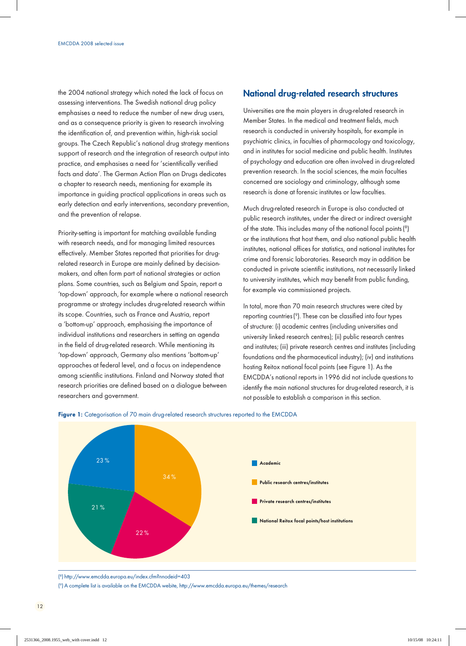the 2004 national strategy which noted the lack of focus on assessing interventions. The Swedish national drug policy emphasises a need to reduce the number of new drug users, and as a consequence priority is given to research involving the identification of, and prevention within, high-risk social groups. The Czech Republic's national drug strategy mentions support of research and the integration of research output into practice, and emphasises a need for 'scientifically verified facts and data'. The German Action Plan on Drugs dedicates a chapter to research needs, mentioning for example its importance in guiding practical applications in areas such as early detection and early interventions, secondary prevention, and the prevention of relapse.

Priority-setting is important for matching available funding with research needs, and for managing limited resources effectively. Member States reported that priorities for drugrelated research in Europe are mainly defined by decisionmakers, and often form part of national strategies or action plans. Some countries, such as Belgium and Spain, report a 'top-down' approach, for example where a national research programme or strategy includes drug-related research within its scope. Countries, such as France and Austria, report a 'bottom-up' approach, emphasising the importance of individual institutions and researchers in setting an agenda in the field of drug-related research. While mentioning its 'top-down' approach, Germany also mentions 'bottom-up' approaches at federal level, and a focus on independence among scientific institutions. Finland and Norway stated that research priorities are defined based on a dialogue between researchers and government.

### National drug-related research structures

Universities are the main players in drug-related research in Member States. In the medical and treatment fields, much research is conducted in university hospitals, for example in psychiatric clinics, in faculties of pharmacology and toxicology, and in institutes for social medicine and public health. Institutes of psychology and education are often involved in drug-related prevention research. In the social sciences, the main faculties concerned are sociology and criminology, although some research is done at forensic institutes or law faculties.

Much drug-related research in Europe is also conducted at public research institutes, under the direct or indirect oversight of the state. This includes many of the national focal points( 8 ) or the institutions that host them, and also national public health institutes, national offices for statistics, and national institutes for crime and forensic laboratories. Research may in addition be conducted in private scientific institutions, not necessarily linked to university institutes, which may benefit from public funding, for example via commissioned projects.

In total, more than 70 main research structures were cited by reporting countries( 9 ). These can be classified into four types of structure: (i) academic centres (including universities and university linked research centres); (ii) public research centres and institutes; (iii) private research centres and institutes (including foundations and the pharmaceutical industry); (iv) and institutions hosting Reitox national focal points (see Figure 1). As the EMCDDA's national reports in 1996 did not include questions to identify the main national structures for drug-related research, it is not possible to establish a comparison in this section.



#### Figure 1: Categorisation of 70 main drug-related research structures reported to the EMCDDA

( 8 ) http://www.emcdda.europa.eu/index.cfm?nnodeid=403

( 9 ) A complete list is available on the EMCDDA webite, http://www.emcdda.europa.eu/themes/research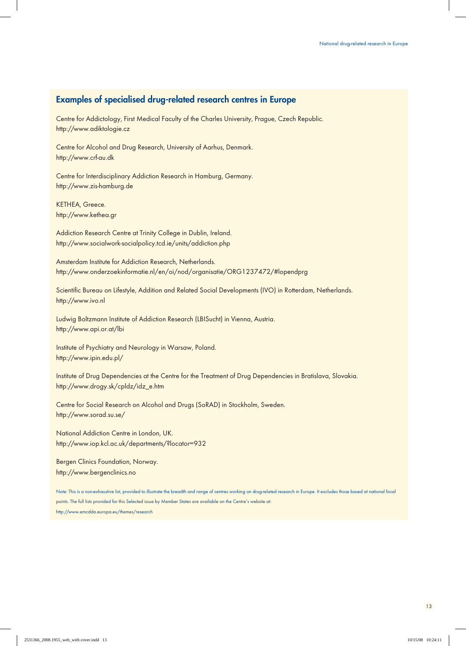### Examples of specialised drug-related research centres in Europe

Centre for Addictology, First Medical Faculty of the Charles University, Prague, Czech Republic. http://www.adiktologie.cz

Centre for Alcohol and Drug Research, University of Aarhus, Denmark. http://www.crf-au.dk

Centre for Interdisciplinary Addiction Research in Hamburg, Germany. http://www.zis-hamburg.de

KETHEA, Greece. http://www.kethea.gr

Addiction Research Centre at Trinity College in Dublin, Ireland. http://www.socialwork-socialpolicy.tcd.ie/units/addiction.php

Amsterdam Institute for Addiction Research, Netherlands. http://www.onderzoekinformatie.nl/en/oi/nod/organisatie/ORG1237472/#lopendprg

Scientific Bureau on Lifestyle, Addition and Related Social Developments (IVO) in Rotterdam, Netherlands. http://www.ivo.nl

Ludwig Boltzmann Institute of Addiction Research (LBISucht) in Vienna, Austria. http://www.api.or.at/lbi

Institute of Psychiatry and Neurology in Warsaw, Poland. http://www.ipin.edu.pl/

Institute of Drug Dependencies at the Centre for the Treatment of Drug Dependencies in Bratislava, Slovakia. http://www.drogy.sk/cpldz/idz\_e.htm

Centre for Social Research on Alcohol and Drugs (SoRAD) in Stockholm, Sweden. http://www.sorad.su.se/

National Addiction Centre in London, UK. http://www.iop.kcl.ac.uk/departments/?locator=932

Bergen Clinics Foundation, Norway. http://www.bergenclinics.no

Note: This is a non-exhaustive list, provided to illustrate the breadth and range of centres working on drug-related research in Europe. It excludes those based at national focal points. The full lists provided for this Selected issue by Member States are available on the Centre's website at: http://www.emcdda.europa.eu/themes/research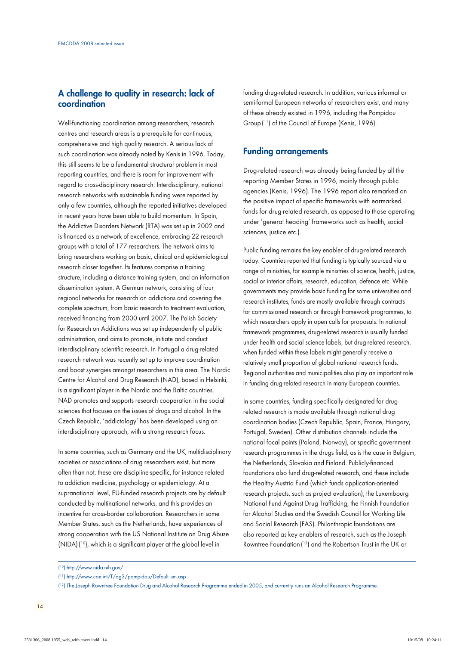#### A challenge to quality in research: lack of coordination

Well-functioning coordination among researchers, research centres and research areas is a prerequisite for continuous, comprehensive and high quality research. A serious lack of such coordination was already noted by Kenis in 1996. Today, this still seems to be a fundamental structural problem in most reporting countries, and there is room for improvement with regard to cross-disciplinary research. Interdisciplinary, national research networks with sustainable funding were reported by only a few countries, although the reported initiatives developed in recent years have been able to build momentum. In Spain, the Addictive Disorders Network (RTA) was set up in 2002 and is financed as a network of excellence, embracing 22 research groups with a total of 177 researchers. The network aims to bring researchers working on basic, clinical and epidemiological research closer together. Its features comprise a training structure, including a distance training system, and an information dissemination system. A German network, consisting of four regional networks for research on addictions and covering the complete spectrum, from basic research to treatment evaluation, received financing from 2000 until 2007. The Polish Society for Research on Addictions was set up independently of public administration, and aims to promote, initiate and conduct interdisciplinary scientific research. In Portugal a drug-related research network was recently set up to improve coordination and boost synergies amongst researchers in this area. The Nordic Centre for Alcohol and Drug Research (NAD), based in Helsinki, is a significant player in the Nordic and the Baltic countries. NAD promotes and supports research cooperation in the social sciences that focuses on the issues of drugs and alcohol. In the Czech Republic, 'addictology' has been developed using an interdisciplinary approach, with a strong research focus.

In some countries, such as Germany and the UK, multidisciplinary societies or associations of drug researchers exist, but more often than not, these are discipline-specific, for instance related to addiction medicine, psychology or epidemiology. At a supranational level, EU-funded research projects are by default conducted by multinational networks, and this provides an incentive for cross-border collaboration. Researchers in some Member States, such as the Netherlands, have experiences of strong cooperation with the US National Institute on Drug Abuse (NIDA)( 10), which is a significant player at the global level in

funding drug-related research. In addition, various informal or semi-formal European networks of researchers exist, and many of these already existed in 1996, including the Pompidou Group( 11) of the Council of Europe (Kenis, 1996).

#### Funding arrangements

Drug-related research was already being funded by all the reporting Member States in 1996, mainly through public agencies (Kenis, 1996). The 1996 report also remarked on the positive impact of specific frameworks with earmarked funds for drug-related research, as opposed to those operating under 'general heading' frameworks such as health, social sciences, justice etc.).

Public funding remains the key enabler of drug-related research today. Countries reported that funding is typically sourced via a range of ministries, for example ministries of science, health, justice, social or interior affairs, research, education, defence etc. While governments may provide basic funding for some universities and research institutes, funds are mostly available through contracts for commissioned research or through framework programmes, to which researchers apply in open calls for proposals. In national framework programmes, drug-related research is usually funded under health and social science labels, but drug-related research, when funded within these labels might generally receive a relatively small proportion of global national research funds. Regional authorities and municipalities also play an important role in funding drug-related research in many European countries.

In some countries, funding specifically designated for drugrelated research is made available through national drug coordination bodies (Czech Republic, Spain, France, Hungary, Portugal, Sweden). Other distribution channels include the national focal points (Poland, Norway), or specific government research programmes in the drugs field, as is the case in Belgium, the Netherlands, Slovakia and Finland. Publicly-financed foundations also fund drug-related research, and these include the Healthy Austria Fund (which funds application-oriented research projects, such as project evaluation), the Luxembourg National Fund Against Drug Trafficking, the Finnish Foundation for Alcohol Studies and the Swedish Council for Working Life and Social Research (FAS). Philanthropic foundations are also reported as key enablers of research, such as the Joseph Rowntree Foundation ( 12) and the Robertson Trust in the UK or

<sup>(</sup> 10) http://www.nida.nih.gov/

<sup>(</sup> 11) http://www.coe.int/T/dg3/pompidou/Default\_en.asp

<sup>(</sup> 12) The Joseph Rowntree Foundation Drug and Alcohol Research Programme ended in 2005, and currently runs an Alcohol Research Programme.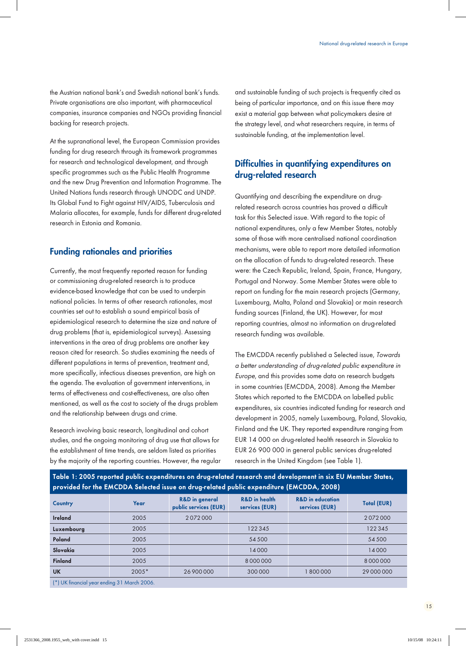the Austrian national bank's and Swedish national bank's funds. Private organisations are also important, with pharmaceutical companies, insurance companies and NGOs providing financial backing for research projects.

At the supranational level, the European Commission provides funding for drug research through its framework programmes for research and technological development, and through specific programmes such as the Public Health Programme and the new Drug Prevention and Information Programme. The United Nations funds research through UNODC and UNDP. Its Global Fund to Fight against HIV/AIDS, Tuberculosis and Malaria allocates, for example, funds for different drug-related research in Estonia and Romania.

### Funding rationales and priorities

Currently, the most frequently reported reason for funding or commissioning drug-related research is to produce evidence-based knowledge that can be used to underpin national policies. In terms of other research rationales, most countries set out to establish a sound empirical basis of epidemiological research to determine the size and nature of drug problems (that is, epidemiological surveys). Assessing interventions in the area of drug problems are another key reason cited for research. So studies examining the needs of different populations in terms of prevention, treatment and, more specifically, infectious diseases prevention, are high on the agenda. The evaluation of government interventions, in terms of effectiveness and cost-effectiveness, are also often mentioned, as well as the cost to society of the drugs problem and the relationship between drugs and crime.

Research involving basic research, longitudinal and cohort studies, and the ongoing monitoring of drug use that allows for the establishment of time trends, are seldom listed as priorities by the majority of the reporting countries. However, the regular

and sustainable funding of such projects is frequently cited as being of particular importance, and on this issue there may exist a material gap between what policymakers desire at the strategy level, and what researchers require, in terms of sustainable funding, at the implementation level.

## Difficulties in quantifying expenditures on drug-related research

Quantifying and describing the expenditure on drugrelated research across countries has proved a difficult task for this Selected issue. With regard to the topic of national expenditures, only a few Member States, notably some of those with more centralised national coordination mechanisms, were able to report more detailed information on the allocation of funds to drug-related research. These were: the Czech Republic, Ireland, Spain, France, Hungary, Portugal and Norway. Some Member States were able to report on funding for the main research projects (Germany, Luxembourg, Malta, Poland and Slovakia) or main research funding sources (Finland, the UK). However, for most reporting countries, almost no information on drug-related research funding was available.

The EMCDDA recently published a Selected issue, Towards a better understanding of drug-related public expenditure in Europe, and this provides some data on research budgets in some countries (EMCDDA, 2008). Among the Member States which reported to the EMCDDA on labelled public expenditures, six countries indicated funding for research and development in 2005, namely Luxembourg, Poland, Slovakia, Finland and the UK. They reported expenditure ranging from EUR 14 000 on drug-related health research in Slovakia to EUR 26 900 000 in general public services drug-related research in the United Kingdom (see Table 1).

| provided for the EMCDDA Selected issue on drug-related public expenditure (EMCDDA, 2008) |         |                                                    |                                            |                                               |                    |  |
|------------------------------------------------------------------------------------------|---------|----------------------------------------------------|--------------------------------------------|-----------------------------------------------|--------------------|--|
| Country                                                                                  | Year    | <b>R&amp;D</b> in general<br>public services (EUR) | <b>R&amp;D</b> in health<br>services (EUR) | <b>R&amp;D</b> in education<br>services (EUR) | <b>Total (EUR)</b> |  |
| <b>Ireland</b>                                                                           | 2005    | 2072000                                            |                                            |                                               | 2072000            |  |
| Luxembourg                                                                               | 2005    |                                                    | 122345                                     |                                               | 122345             |  |
| Poland                                                                                   | 2005    |                                                    | 54 500                                     |                                               | 54 500             |  |
| Slovakia                                                                                 | 2005    |                                                    | 14000                                      |                                               | 14000              |  |
| <b>Finland</b>                                                                           | 2005    |                                                    | 8000000                                    |                                               | 8000000            |  |
| <b>UK</b>                                                                                | $2005*$ | 26 900 000                                         | 300000                                     | 1800000                                       | 29 000 000         |  |
| $1 + 1 + 11$<br>$\sim$ 1.<br>$\mathbf{F}$<br>$0111110001$                                |         |                                                    |                                            |                                               |                    |  |

**Table 1: 2005 reported public expenditures on drug-related research and development in six EU Member States,** 

(\*) UK financial year ending 31 March 2006.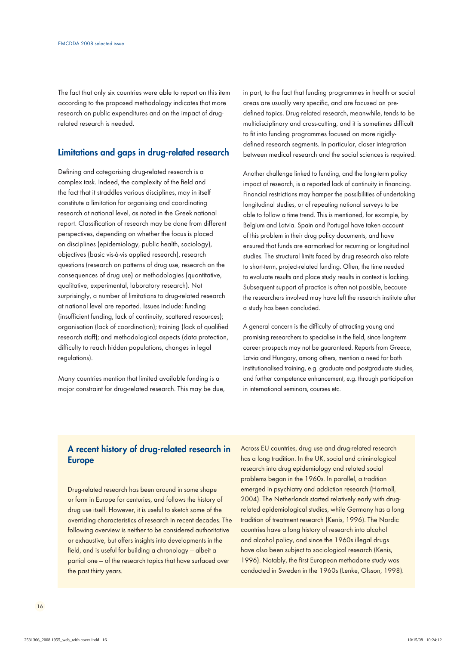The fact that only six countries were able to report on this item according to the proposed methodology indicates that more research on public expenditures and on the impact of drugrelated research is needed.

#### Limitations and gaps in drug-related research

Defining and categorising drug-related research is a complex task. Indeed, the complexity of the field and the fact that it straddles various disciplines, may in itself constitute a limitation for organising and coordinating research at national level, as noted in the Greek national report. Classification of research may be done from different perspectives, depending on whether the focus is placed on disciplines (epidemiology, public health, sociology), objectives (basic vis-à-vis applied research), research questions (research on patterns of drug use, research on the consequences of drug use) or methodologies (quantitative, qualitative, experimental, laboratory research). Not surprisingly, a number of limitations to drug-related research at national level are reported. Issues include: funding (insufficient funding, lack of continuity, scattered resources); organisation (lack of coordination); training (lack of qualified research staff); and methodological aspects (data protection, difficulty to reach hidden populations, changes in legal regulations).

Many countries mention that limited available funding is a major constraint for drug-related research. This may be due, in part, to the fact that funding programmes in health or social areas are usually very specific, and are focused on predefined topics. Drug-related research, meanwhile, tends to be multidisciplinary and cross-cutting, and it is sometimes difficult to fit into funding programmes focused on more rigidlydefined research segments. In particular, closer integration between medical research and the social sciences is required.

Another challenge linked to funding, and the long-term policy impact of research, is a reported lack of continuity in financing. Financial restrictions may hamper the possibilities of undertaking longitudinal studies, or of repeating national surveys to be able to follow a time trend. This is mentioned, for example, by Belgium and Latvia. Spain and Portugal have taken account of this problem in their drug policy documents, and have ensured that funds are earmarked for recurring or longitudinal studies. The structural limits faced by drug research also relate to short-term, project-related funding. Often, the time needed to evaluate results and place study results in context is lacking. Subsequent support of practice is often not possible, because the researchers involved may have left the research institute after a study has been concluded.

A general concern is the difficulty of attracting young and promising researchers to specialise in the field, since long-term career prospects may not be guaranteed. Reports from Greece, Latvia and Hungary, among others, mention a need for both institutionalised training, e.g. graduate and postgraduate studies, and further competence enhancement, e.g. through participation in international seminars, courses etc.

### A recent history of drug-related research in Europe

Drug-related research has been around in some shape or form in Europe for centuries, and follows the history of drug use itself. However, it is useful to sketch some of the overriding characteristics of research in recent decades. The following overview is neither to be considered authoritative or exhaustive, but offers insights into developments in the field, and is useful for building a chronology — albeit a partial one — of the research topics that have surfaced over the past thirty years.

Across EU countries, drug use and drug-related research has a long tradition. In the UK, social and criminological research into drug epidemiology and related social problems began in the 1960s. In parallel, a tradition emerged in psychiatry and addiction research (Hartnoll, 2004). The Netherlands started relatively early with drugrelated epidemiological studies, while Germany has a long tradition of treatment research (Kenis, 1996). The Nordic countries have a long history of research into alcohol and alcohol policy, and since the 1960s illegal drugs have also been subject to sociological research (Kenis, 1996). Notably, the first European methadone study was conducted in Sweden in the 1960s (Lenke, Olsson, 1998).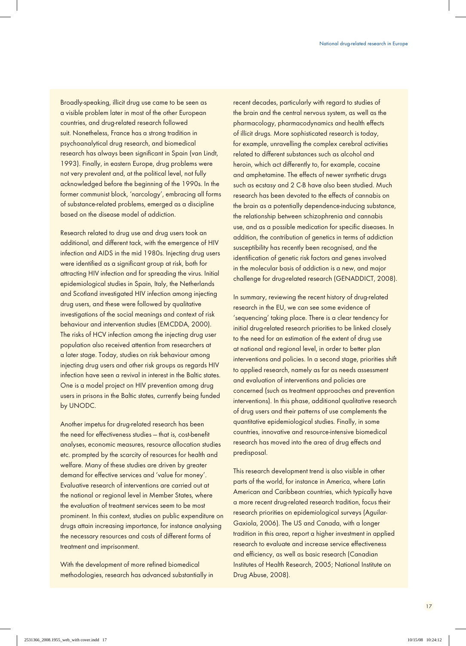Broadly-speaking, illicit drug use came to be seen as a visible problem later in most of the other European countries, and drug-related research followed suit. Nonetheless, France has a strong tradition in psychoanalytical drug research, and biomedical research has always been significant in Spain (van Lindt, 1993). Finally, in eastern Europe, drug problems were not very prevalent and, at the political level, not fully acknowledged before the beginning of the 1990s. In the former communist block, 'narcology', embracing all forms of substance-related problems, emerged as a discipline based on the disease model of addiction.

Research related to drug use and drug users took an additional, and different tack, with the emergence of HIV infection and AIDS in the mid 1980s. Injecting drug users were identified as a significant group at risk, both for attracting HIV infection and for spreading the virus. Initial epidemiological studies in Spain, Italy, the Netherlands and Scotland investigated HIV infection among injecting drug users, and these were followed by qualitative investigations of the social meanings and context of risk behaviour and intervention studies (EMCDDA, 2000). The risks of HCV infection among the injecting drug user population also received attention from researchers at a later stage. Today, studies on risk behaviour among injecting drug users and other risk groups as regards HIV infection have seen a revival in interest in the Baltic states. One is a model project on HIV prevention among drug users in prisons in the Baltic states, currently being funded by UNODC.

Another impetus for drug-related research has been the need for effectiveness studies — that is, cost-benefit analyses, economic measures, resource allocation studies etc. prompted by the scarcity of resources for health and welfare. Many of these studies are driven by greater demand for effective services and 'value for money'. Evaluative research of interventions are carried out at the national or regional level in Member States, where the evaluation of treatment services seem to be most prominent. In this context, studies on public expenditure on drugs attain increasing importance, for instance analysing the necessary resources and costs of different forms of treatment and imprisonment.

With the development of more refined biomedical methodologies, research has advanced substantially in recent decades, particularly with regard to studies of the brain and the central nervous system, as well as the pharmacology, pharmacodynamics and health effects of illicit drugs. More sophisticated research is today, for example, unravelling the complex cerebral activities related to different substances such as alcohol and heroin, which act differently to, for example, cocaine and amphetamine. The effects of newer synthetic drugs such as ecstasy and 2 C-B have also been studied. Much research has been devoted to the effects of cannabis on the brain as a potentially dependence-inducing substance, the relationship between schizophrenia and cannabis use, and as a possible medication for specific diseases. In addition, the contribution of genetics in terms of addiction susceptibility has recently been recognised, and the identification of genetic risk factors and genes involved in the molecular basis of addiction is a new, and major challenge for drug-related research (GENADDICT, 2008).

In summary, reviewing the recent history of drug-related research in the EU, we can see some evidence of 'sequencing' taking place. There is a clear tendency for initial drug-related research priorities to be linked closely to the need for an estimation of the extent of drug use at national and regional level, in order to better plan interventions and policies. In a second stage, priorities shift to applied research, namely as far as needs assessment and evaluation of interventions and policies are concerned (such as treatment approaches and prevention interventions). In this phase, additional qualitative research of drug users and their patterns of use complements the quantitative epidemiological studies. Finally, in some countries, innovative and resource-intensive biomedical research has moved into the area of drug effects and predisposal.

This research development trend is also visible in other parts of the world, for instance in America, where Latin American and Caribbean countries, which typically have a more recent drug-related research tradition, focus their research priorities on epidemiological surveys (Aguilar-Gaxiola, 2006). The US and Canada, with a longer tradition in this area, report a higher investment in applied research to evaluate and increase service effectiveness and efficiency, as well as basic research (Canadian Institutes of Health Research, 2005; National Institute on Drug Abuse, 2008).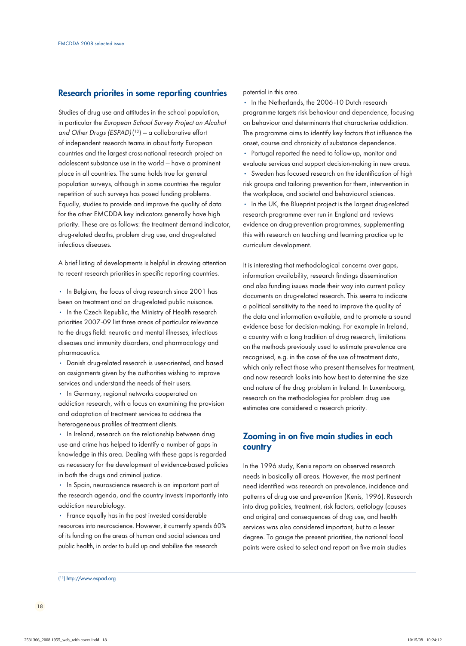#### Research priorites in some reporting countries

Studies of drug use and attitudes in the school population, in particular the European School Survey Project on Alcohol and Other Drugs (ESPAD) $(13)$  – a collaborative effort of independent research teams in about forty European countries and the largest cross-national research project on adolescent substance use in the world — have a prominent place in all countries. The same holds true for general population surveys, although in some countries the regular repetition of such surveys has posed funding problems. Equally, studies to provide and improve the quality of data for the other EMCDDA key indicators generally have high priority. These are as follows: the treatment demand indicator, drug-related deaths, problem drug use, and drug-related infectious diseases.

A brief listing of developments is helpful in drawing attention to recent research priorities in specific reporting countries.

• In Belgium, the focus of drug research since 2001 has been on treatment and on drug-related public nuisance.

• In the Czech Republic, the Ministry of Health research priorities 2007–09 list three areas of particular relevance to the drugs field: neurotic and mental illnesses, infectious diseases and immunity disorders, and pharmacology and pharmaceutics.

• Danish drug-related research is user-oriented, and based on assignments given by the authorities wishing to improve services and understand the needs of their users.

• In Germany, regional networks cooperated on addiction research, with a focus on examining the provision and adaptation of treatment services to address the heterogeneous profiles of treatment clients.

• In Ireland, research on the relationship between drug use and crime has helped to identify a number of gaps in knowledge in this area. Dealing with these gaps is regarded as necessary for the development of evidence-based policies in both the drugs and criminal justice.

• In Spain, neuroscience research is an important part of the research agenda, and the country invests importantly into addiction neurobiology.

• France equally has in the past invested considerable resources into neuroscience. However, it currently spends 60% of its funding on the areas of human and social sciences and public health, in order to build up and stabilise the research

potential in this area.

• In the Netherlands, the 2006–10 Dutch research programme targets risk behaviour and dependence, focusing on behaviour and determinants that characterise addiction. The programme aims to identify key factors that influence the onset, course and chronicity of substance dependence.

Portugal reported the need to follow-up, monitor and evaluate services and support decision-making in new areas.

• Sweden has focused research on the identification of high risk groups and tailoring prevention for them, intervention in the workplace, and societal and behavioural sciences.

• In the UK, the Blueprint project is the largest drug-related research programme ever run in England and reviews evidence on drug-prevention programmes, supplementing this with research on teaching and learning practice up to curriculum development.

It is interesting that methodological concerns over gaps, information availability, research findings dissemination and also funding issues made their way into current policy documents on drug-related research. This seems to indicate a political sensitivity to the need to improve the quality of the data and information available, and to promote a sound evidence base for decision-making. For example in Ireland, a country with a long tradition of drug research, limitations on the methods previously used to estimate prevalence are recognised, e.g. in the case of the use of treatment data, which only reflect those who present themselves for treatment, and now research looks into how best to determine the size and nature of the drug problem in Ireland. In Luxembourg, research on the methodologies for problem drug use estimates are considered a research priority.

#### Zooming in on five main studies in each country

In the 1996 study, Kenis reports on observed research needs in basically all areas. However, the most pertinent need identified was research on prevalence, incidence and patterns of drug use and prevention (Kenis, 1996). Research into drug policies, treatment, risk factors, aetiology (causes and origins) and consequences of drug use, and health services was also considered important, but to a lesser degree. To gauge the present priorities, the national focal points were asked to select and report on five main studies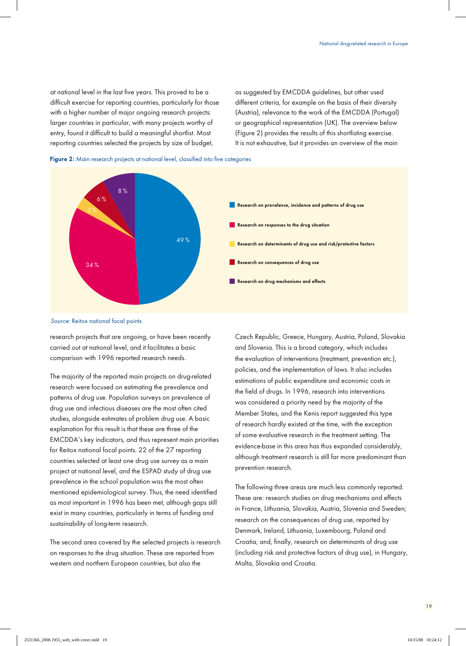at national level in the last five years. This proved to be a difficult exercise for reporting countries, particularly for those with a higher number of major ongoing research projects: larger countries in particular, with many projects worthy of entry, found it difficult to build a meaningful shortlist. Most reporting countries selected the projects by size of budget,

as suggested by EMCDDA guidelines, but other used different criteria, for example on the basis of their diversity (Austria), relevance to the work of the EMCDDA (Portugal) or geographical representation (UK). The overview below (Figure 2) provides the results of this shortlisting exercise. It is not exhaustive, but it provides an overview of the main





Source: Reitox national focal points

research projects that are ongoing, or have been recently carried out at national level, and it facilitates a basic comparison with 1996 reported research needs.

The majority of the reported main projects on drug-related research were focused on estimating the prevalence and patterns of drug use. Population surveys on prevalence of drug use and infectious diseases are the most often cited studies, alongside estimates of problem drug use. A basic explanation for this result is that these are three of the EMCDDA's key indicators, and thus represent main priorities for Reitox national focal points. 22 of the 27 reporting countries selected at least one drug use survey as a main project at national level, and the ESPAD study of drug use prevalence in the school population was the most often mentioned epidemiological survey. Thus, the need identified as most important in 1996 has been met, although gaps still exist in many countries, particularly in terms of funding and sustainability of long-term research.

The second area covered by the selected projects is research on responses to the drug situation. These are reported from western and northern European countries, but also the

Czech Republic, Greece, Hungary, Austria, Poland, Slovakia and Slovenia. This is a broad category, which includes the evaluation of interventions (treatment, prevention etc.), policies, and the implementation of laws. It also includes estimations of public expenditure and economic costs in the field of drugs. In 1996, research into interventions was considered a priority need by the majority of the Member States, and the Kenis report suggested this type of research hardly existed at the time, with the exception of some evaluative research in the treatment setting. The evidence-base in this area has thus expanded considerably, although treatment research is still far more predominant than prevention research.

The following three areas are much less commonly reported. These are: research studies on drug mechanisms and effects in France, Lithuania, Slovakia, Austria, Slovenia and Sweden; research on the consequences of drug use, reported by Denmark, Ireland, Lithuania, Luxembourg, Poland and Croatia; and, finally, research on determinants of drug use (including risk and protective factors of drug use), in Hungary, Malta, Slovakia and Croatia.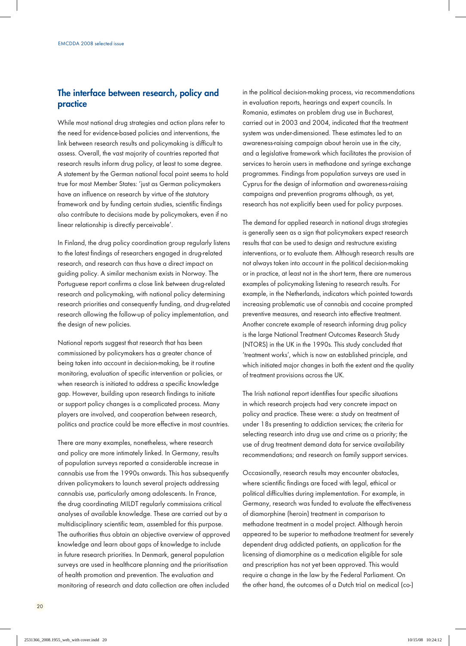#### The interface between research, policy and practice

While most national drug strategies and action plans refer to the need for evidence-based policies and interventions, the link between research results and policymaking is difficult to assess. Overall, the vast majority of countries reported that research results inform drug policy, at least to some degree. A statement by the German national focal point seems to hold true for most Member States: 'just as German policymakers have an influence on research by virtue of the statutory framework and by funding certain studies, scientific findings also contribute to decisions made by policymakers, even if no linear relationship is directly perceivable'.

In Finland, the drug policy coordination group regularly listens to the latest findings of researchers engaged in drug-related research, and research can thus have a direct impact on guiding policy. A similar mechanism exists in Norway. The Portuguese report confirms a close link between drug-related research and policymaking, with national policy determining research priorities and consequently funding, and drug-related research allowing the follow-up of policy implementation, and the design of new policies.

National reports suggest that research that has been commissioned by policymakers has a greater chance of being taken into account in decision-making, be it routine monitoring, evaluation of specific intervention or policies, or when research is initiated to address a specific knowledge gap. However, building upon research findings to initiate or support policy changes is a complicated process. Many players are involved, and cooperation between research, politics and practice could be more effective in most countries.

There are many examples, nonetheless, where research and policy are more intimately linked. In Germany, results of population surveys reported a considerable increase in cannabis use from the 1990s onwards. This has subsequently driven policymakers to launch several projects addressing cannabis use, particularly among adolescents. In France, the drug coordinating MILDT regularly commissions critical analyses of available knowledge. These are carried out by a multidisciplinary scientific team, assembled for this purpose. The authorities thus obtain an objective overview of approved knowledge and learn about gaps of knowledge to include in future research priorities. In Denmark, general population surveys are used in healthcare planning and the prioritisation of health promotion and prevention. The evaluation and monitoring of research and data collection are often included

in the political decision-making process, via recommendations in evaluation reports, hearings and expert councils. In Romania, estimates on problem drug use in Bucharest, carried out in 2003 and 2004, indicated that the treatment system was under-dimensioned. These estimates led to an awareness-raising campaign about heroin use in the city, and a legislative framework which facilitates the provision of services to heroin users in methadone and syringe exchange programmes. Findings from population surveys are used in Cyprus for the design of information and awareness-raising campaigns and prevention programs although, as yet, research has not explicitly been used for policy purposes.

The demand for applied research in national drugs strategies is generally seen as a sign that policymakers expect research results that can be used to design and restructure existing interventions, or to evaluate them. Although research results are not always taken into account in the political decision-making or in practice, at least not in the short term, there are numerous examples of policymaking listening to research results. For example, in the Netherlands, indicators which pointed towards increasing problematic use of cannabis and cocaine prompted preventive measures, and research into effective treatment. Another concrete example of research informing drug policy is the large National Treatment Outcomes Research Study (NTORS) in the UK in the 1990s. This study concluded that 'treatment works', which is now an established principle, and which initiated major changes in both the extent and the quality of treatment provisions across the UK.

The Irish national report identifies four specific situations in which research projects had very concrete impact on policy and practice. These were: a study on treatment of under 18s presenting to addiction services; the criteria for selecting research into drug use and crime as a priority; the use of drug treatment demand data for service availability recommendations; and research on family support services.

Occasionally, research results may encounter obstacles, where scientific findings are faced with legal, ethical or political difficulties during implementation. For example, in Germany, research was funded to evaluate the effectiveness of diamorphine (heroin) treatment in comparison to methadone treatment in a model project. Although heroin appeared to be superior to methadone treatment for severely dependent drug addicted patients, an application for the licensing of diamorphine as a medication eligible for sale and prescription has not yet been approved. This would require a change in the law by the Federal Parliament. On the other hand, the outcomes of a Dutch trial on medical (co-)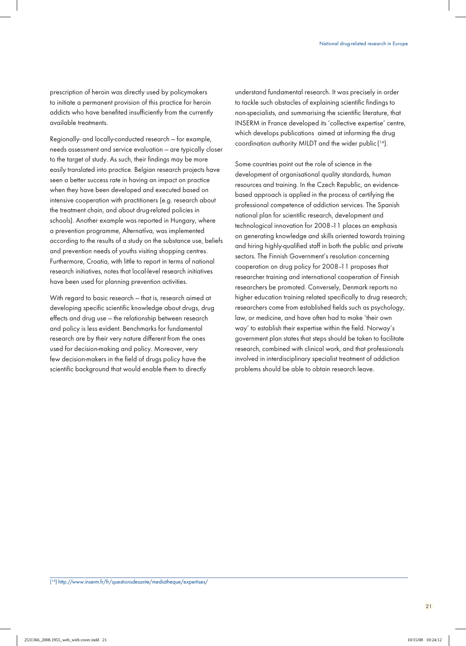prescription of heroin was directly used by policymakers to initiate a permanent provision of this practice for heroin addicts who have benefited insufficiently from the currently available treatments.

Regionally- and locally-conducted research — for example, needs assessment and service evaluation — are typically closer to the target of study. As such, their findings may be more easily translated into practice. Belgian research projects have seen a better success rate in having an impact on practice when they have been developed and executed based on intensive cooperation with practitioners (e.g. research about the treatment chain, and about drug-related policies in schools). Another example was reported in Hungary, where a prevention programme, Alternatíva, was implemented according to the results of a study on the substance use, beliefs and prevention needs of youths visiting shopping centres. Furthermore, Croatia, with little to report in terms of national research initiatives, notes that local-level research initiatives have been used for planning prevention activities.

With regard to basic research — that is, research aimed at developing specific scientific knowledge about drugs, drug effects and drug use — the relationship between research and policy is less evident. Benchmarks for fundamental research are by their very nature different from the ones used for decision-making and policy. Moreover, very few decision-makers in the field of drugs policy have the scientific background that would enable them to directly

understand fundamental research. It was precisely in order to tackle such obstacles of explaining scientific findings to non-specialists, and summarising the scientific literature, that INSERM in France developed its 'collective expertise' centre, which develops publications aimed at informing the drug coordination authority MILDT and the wider public ( 14).

Some countries point out the role of science in the development of organisational quality standards, human resources and training. In the Czech Republic, an evidencebased approach is applied in the process of certifying the professional competence of addiction services. The Spanish national plan for scientific research, development and technological innovation for 2008–11 places an emphasis on generating knowledge and skills oriented towards training and hiring highly-qualified staff in both the public and private sectors. The Finnish Government's resolution concerning cooperation on drug policy for 2008–11 proposes that researcher training and international cooperation of Finnish researchers be promoted. Conversely, Denmark reports no higher education training related specifically to drug research; researchers come from established fields such as psychology, law, or medicine, and have often had to make 'their own way' to establish their expertise within the field. Norway's government plan states that steps should be taken to facilitate research, combined with clinical work, and that professionals involved in interdisciplinary specialist treatment of addiction problems should be able to obtain research leave.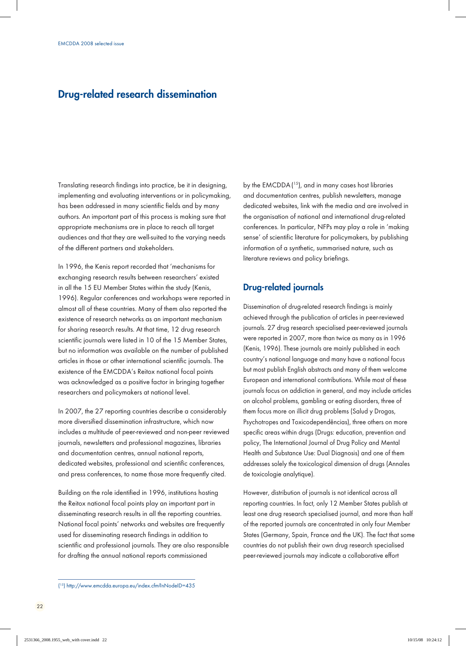# Drug-related research dissemination

Translating research findings into practice, be it in designing, implementing and evaluating interventions or in policymaking, has been addressed in many scientific fields and by many authors. An important part of this process is making sure that appropriate mechanisms are in place to reach all target audiences and that they are well-suited to the varying needs of the different partners and stakeholders.

In 1996, the Kenis report recorded that 'mechanisms for exchanging research results between researchers' existed in all the 15 EU Member States within the study (Kenis, 1996). Regular conferences and workshops were reported in almost all of these countries. Many of them also reported the existence of research networks as an important mechanism for sharing research results. At that time, 12 drug research scientific journals were listed in 10 of the 15 Member States, but no information was available on the number of published articles in those or other international scientific journals. The existence of the EMCDDA's Reitox national focal points was acknowledged as a positive factor in bringing together researchers and policymakers at national level.

In 2007, the 27 reporting countries describe a considerably more diversified dissemination infrastructure, which now includes a multitude of peer-reviewed and non-peer reviewed journals, newsletters and professional magazines, libraries and documentation centres, annual national reports, dedicated websites, professional and scientific conferences, and press conferences, to name those more frequently cited.

Building on the role identified in 1996, institutions hosting the Reitox national focal points play an important part in disseminating research results in all the reporting countries. National focal points' networks and websites are frequently used for disseminating research findings in addition to scientific and professional journals. They are also responsible for drafting the annual national reports commissioned

by the EMCDDA( 15), and in many cases host libraries and documentation centres, publish newsletters, manage dedicated websites, link with the media and are involved in the organisation of national and international drug-related conferences. In particular, NFPs may play a role in 'making sense' of scientific literature for policymakers, by publishing information of a synthetic, summarised nature, such as literature reviews and policy briefings.

## Drug-related journals

Dissemination of drug-related research findings is mainly achieved through the publication of articles in peer-reviewed journals. 27 drug research specialised peer-reviewed journals were reported in 2007, more than twice as many as in 1996 (Kenis, 1996). These journals are mainly published in each country's national language and many have a national focus but most publish English abstracts and many of them welcome European and international contributions. While most of these journals focus on addiction in general, and may include articles on alcohol problems, gambling or eating disorders, three of them focus more on illicit drug problems (Salud y Drogas, Psychotropes and Toxicodependências), three others on more specific areas within drugs (Drugs: education, prevention and policy, The International Journal of Drug Policy and Mental Health and Substance Use: Dual Diagnosis) and one of them addresses solely the toxicological dimension of drugs (Annales de toxicologie analytique).

However, distribution of journals is not identical across all reporting countries. In fact, only 12 Member States publish at least one drug research specialised journal, and more than half of the reported journals are concentrated in only four Member States (Germany, Spain, France and the UK). The fact that some countries do not publish their own drug research specialised peer-reviewed journals may indicate a collaborative effort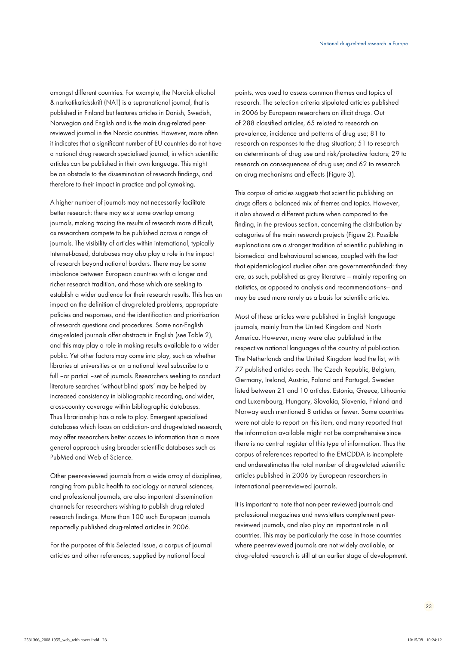amongst different countries. For example, the Nordisk alkohol & narkotikatidsskrift (NAT) is a supranational journal, that is published in Finland but features articles in Danish, Swedish, Norwegian and English and is the main drug-related peerreviewed journal in the Nordic countries. However, more often it indicates that a significant number of EU countries do not have a national drug research specialised journal, in which scientific articles can be published in their own language. This might be an obstacle to the dissemination of research findings, and therefore to their impact in practice and policymaking.

A higher number of journals may not necessarily facilitate better research: there may exist some overlap among journals, making tracing the results of research more difficult, as researchers compete to be published across a range of journals. The visibility of articles within international, typically Internet-based, databases may also play a role in the impact of research beyond national borders. There may be some imbalance between European countries with a longer and richer research tradition, and those which are seeking to establish a wider audience for their research results. This has an impact on the definition of drug-related problems, appropriate policies and responses, and the identification and prioritisation of research questions and procedures. Some non-English drug-related journals offer abstracts in English (see Table 2), and this may play a role in making results available to a wider public. Yet other factors may come into play, such as whether libraries at universities or on a national level subscribe to a full – or partial – set of journals. Researchers seeking to conduct literature searches 'without blind spots' may be helped by increased consistency in bibliographic recording, and wider, cross-country coverage within bibliographic databases. Thus librarianship has a role to play. Emergent specialised databases which focus on addiction- and drug-related research, may offer researchers better access to information than a more general approach using broader scientific databases such as PubMed and Web of Science.

Other peer-reviewed journals from a wide array of disciplines, ranging from public health to sociology or natural sciences. and professional journals, are also important dissemination channels for researchers wishing to publish drug-related research findings. More than 100 such European journals reportedly published drug-related articles in 2006.

For the purposes of this Selected issue, a corpus of journal articles and other references, supplied by national focal

points, was used to assess common themes and topics of research. The selection criteria stipulated articles published in 2006 by European researchers on illicit drugs. Out of 288 classified articles, 65 related to research on prevalence, incidence and patterns of drug use; 81 to research on responses to the drug situation; 51 to research on determinants of drug use and risk/protective factors; 29 to research on consequences of drug use; and 62 to research on drug mechanisms and effects (Figure 3).

This corpus of articles suggests that scientific publishing on drugs offers a balanced mix of themes and topics. However, it also showed a different picture when compared to the finding, in the previous section, concerning the distribution by categories of the main research projects (Figure 2). Possible explanations are a stronger tradition of scientific publishing in biomedical and behavioural sciences, coupled with the fact that epidemiological studies often are government-funded: they are, as such, published as grey literature — mainly reporting on statistics, as opposed to analysis and recommendations— and may be used more rarely as a basis for scientific articles.

Most of these articles were published in English language journals, mainly from the United Kingdom and North America. However, many were also published in the respective national languages of the country of publication. The Netherlands and the United Kingdom lead the list, with 77 published articles each. The Czech Republic, Belgium, Germany, Ireland, Austria, Poland and Portugal, Sweden listed between 21 and 10 articles. Estonia, Greece, Lithuania and Luxembourg, Hungary, Slovakia, Slovenia, Finland and Norway each mentioned 8 articles or fewer. Some countries were not able to report on this item, and many reported that the information available might not be comprehensive since there is no central register of this type of information. Thus the corpus of references reported to the EMCDDA is incomplete and underestimates the total number of drug-related scientific articles published in 2006 by European researchers in international peer-reviewed journals.

It is important to note that non-peer reviewed journals and professional magazines and newsletters complement peerreviewed journals, and also play an important role in all countries. This may be particularly the case in those countries where peer-reviewed journals are not widely available, or drug-related research is still at an earlier stage of development.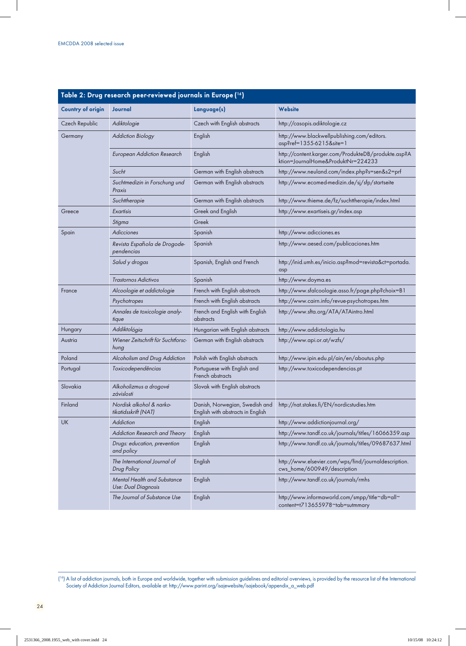| Table 2: Drug research peer-reviewed journals in Europe (16) |                                                    |                                                                     |                                                                                           |  |  |  |
|--------------------------------------------------------------|----------------------------------------------------|---------------------------------------------------------------------|-------------------------------------------------------------------------------------------|--|--|--|
| <b>Country of origin</b>                                     | Journal                                            | Language(s)                                                         | Website                                                                                   |  |  |  |
| Czech Republic                                               | Adiktologie                                        | Czech with English abstracts                                        | http://casopis.adiktologie.cz                                                             |  |  |  |
| Germany                                                      | <b>Addiction Biology</b>                           | English                                                             | http://www.blackwellpublishing.com/editors.<br>asp?ref=1355-6215&site=1                   |  |  |  |
|                                                              | <b>European Addiction Research</b>                 | English                                                             | http://content.karger.com/ProdukteDB/produkte.asp?A<br>ktion=JournalHome&ProduktNr=224233 |  |  |  |
|                                                              | Sucht                                              | German with English abstracts                                       | http://www.neuland.com/index.php?s=sen&s2=prf                                             |  |  |  |
|                                                              | Suchtmedizin in Forschung und<br>Praxis            | German with English abstracts                                       | http://www.ecomed-medizin.de/sj/sfp/startseite                                            |  |  |  |
|                                                              | Suchttherapie                                      | German with English abstracts                                       | http://www.thieme.de/fz/suchttherapie/index.html                                          |  |  |  |
| Greece                                                       | Exartisis                                          | Greek and English                                                   | http://www.exartiseis.gr/index.asp                                                        |  |  |  |
|                                                              | Stigma                                             | Greek                                                               |                                                                                           |  |  |  |
| Spain                                                        | <b>Adicciones</b>                                  | Spanish                                                             | http://www.adicciones.es                                                                  |  |  |  |
|                                                              | Revista Española de Drogode-<br>pendencias         | Spanish                                                             | http://www.aesed.com/publicaciones.htm                                                    |  |  |  |
|                                                              | Salud y drogas                                     | Spanish, English and French                                         | http://inid.umh.es/inicio.asp?mod=revista&ct=portada.<br>asp                              |  |  |  |
|                                                              | Trastornos Adictivos                               | Spanish                                                             | http://www.doyma.es                                                                       |  |  |  |
| France                                                       | Alcoologie et addictologie                         | French with English abstracts                                       | http://www.sfalcoologie.asso.fr/page.php?choix=B1                                         |  |  |  |
|                                                              | Psychotropes                                       | French with English abstracts                                       | http://www.cairn.info/revue-psychotropes.htm                                              |  |  |  |
|                                                              | Annales de toxicologie analy-<br>tique             | French and English with English<br>abstracts                        | http://www.sfta.org/ATA/ATAintro.html                                                     |  |  |  |
| Hungary                                                      | Addiktológia                                       | Hungarian with English abstracts                                    | http://www.addictologia.hu                                                                |  |  |  |
| Austria                                                      | Wiener Zeitschrift für Suchtforsc-<br>hung         | German with English abstracts                                       | http://www.api.or.at/wzfs/                                                                |  |  |  |
| Poland                                                       | Alcoholism and Drug Addiction                      | Polish with English abstracts                                       | http://www.ipin.edu.pl/ain/en/aboutus.php                                                 |  |  |  |
| Portugal                                                     | Toxicodependências                                 | Portuguese with English and<br>French abstracts                     | http://www.toxicodependencias.pt                                                          |  |  |  |
| Slovakia                                                     | Alkoholizmus a drogové<br>závislosti               | Slovak with English abstracts                                       |                                                                                           |  |  |  |
| Finland                                                      | Nordisk alkohol & narko-<br>tikatidsskrift (NAT)   | Danish, Norwegian, Swedish and<br>English with abstracts in English | http://nat.stakes.fi/EN/nordicstudies.htm                                                 |  |  |  |
| <b>UK</b>                                                    | Addiction                                          | English                                                             | http://www.addictionjournal.org/                                                          |  |  |  |
|                                                              | Addiction Research and Theory                      | English                                                             | http://www.tandf.co.uk/journals/titles/16066359.asp                                       |  |  |  |
|                                                              | Drugs: education, prevention<br>and policy         | English                                                             | http://www.tandf.co.uk/journals/titles/09687637.html                                      |  |  |  |
|                                                              | The International Journal of<br>Drug Policy        | English                                                             | http://www.elsevier.com/wps/find/journaldescription.<br>cws_home/600949/description       |  |  |  |
|                                                              | Mental Health and Substance<br>Use: Dual Diagnosis | English                                                             | http://www.tandf.co.uk/journals/rmhs                                                      |  |  |  |
|                                                              | The Journal of Substance Use                       | English                                                             | http://www.informaworld.com/smpp/title~db=all~<br>content=t713655978~tab=sutmmary         |  |  |  |

( 16) A list of addiction journals, both in Europe and worldwide, together with submission guidelines and editorial overviews, is provided by the resource list of the International Society of Addiction Journal Editors, available at: http://www.parint.org/isajewebsite/isajebook/appendix\_a\_web.pdf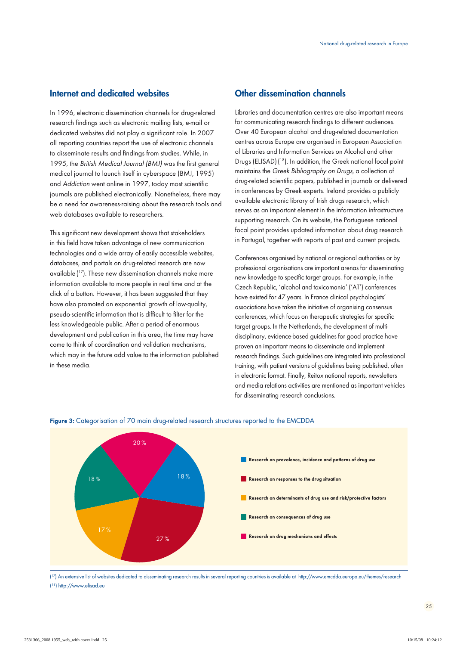#### Internet and dedicated websites

In 1996, electronic dissemination channels for drug-related research findings such as electronic mailing lists, e-mail or dedicated websites did not play a significant role. In 2007 all reporting countries report the use of electronic channels to disseminate results and findings from studies. While, in 1995, the British Medical Journal (BMJ) was the first general medical journal to launch itself in cyberspace (BMJ, 1995) and Addiction went online in 1997, today most scientific journals are published electronically. Nonetheless, there may be a need for awareness-raising about the research tools and web databases available to researchers.

This significant new development shows that stakeholders in this field have taken advantage of new communication technologies and a wide array of easily accessible websites, databases, and portals on drug-related research are now available ( 17). These new dissemination channels make more information available to more people in real time and at the click of a button. However, it has been suggested that they have also promoted an exponential growth of low-quality, pseudo-scientific information that is difficult to filter for the less knowledgeable public. After a period of enormous development and publication in this area, the time may have come to think of coordination and validation mechanisms, which may in the future add value to the information published in these media.

#### Other dissemination channels

Libraries and documentation centres are also important means for communicating research findings to different audiences. Over 40 European alcohol and drug-related documentation centres across Europe are organised in European Association of Libraries and Information Services on Alcohol and other Drugs (ELISAD) (<sup>18</sup>). In addition, the Greek national focal point maintains the Greek Bibliography on Drugs, a collection of drug-related scientific papers, published in journals or delivered in conferences by Greek experts. Ireland provides a publicly available electronic library of Irish drugs research, which serves as an important element in the information infrastructure supporting research. On its website, the Portuguese national focal point provides updated information about drug research in Portugal, together with reports of past and current projects.

Conferences organised by national or regional authorities or by professional organisations are important arenas for disseminating new knowledge to specific target groups. For example, in the Czech Republic, 'alcohol and toxicomania' ('AT') conferences have existed for 47 years. In France clinical psychologists' associations have taken the initiative of organising consensus conferences, which focus on therapeutic strategies for specific target groups. In the Netherlands, the development of multidisciplinary, evidence-based guidelines for good practice have proven an important means to disseminate and implement research findings. Such guidelines are integrated into professional training, with patient versions of guidelines being published, often in electronic format. Finally, Reitox national reports, newsletters and media relations activities are mentioned as important vehicles for disseminating research conclusions.



#### **Figure 3:** Categorisation of 70 main drug-related research structures reported to the EMCDDA

( 17) An extensive list of websites dedicated to disseminating research results in several reporting countries is available at http://www.emcdda.europa.eu/themes/research ( 18) http://www.elisad.eu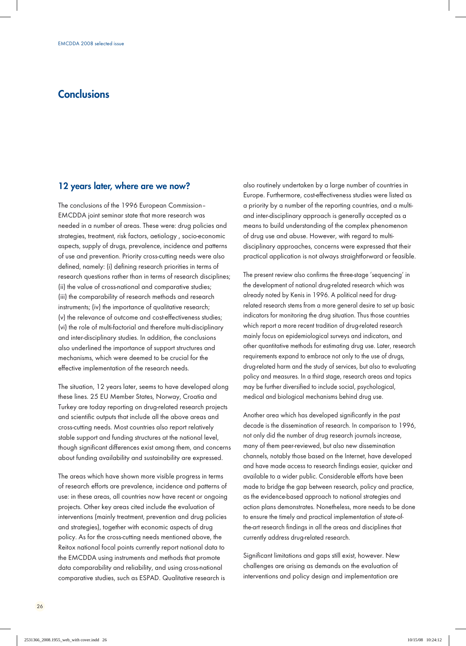# **Conclusions**

#### 12 years later, where are we now?

The conclusions of the 1996 European Commission– EMCDDA joint seminar state that more research was needed in a number of areas. These were: drug policies and strategies, treatment, risk factors, aetiology , socio-economic aspects, supply of drugs, prevalence, incidence and patterns of use and prevention. Priority cross-cutting needs were also defined, namely: (i) defining research priorities in terms of research questions rather than in terms of research disciplines; (ii) the value of cross-national and comparative studies; (iii) the comparability of research methods and research instruments; (iv) the importance of qualitative research; (v) the relevance of outcome and cost-effectiveness studies; (vi) the role of multi-factorial and therefore multi-disciplinary and inter-disciplinary studies. In addition, the conclusions also underlined the importance of support structures and mechanisms, which were deemed to be crucial for the effective implementation of the research needs.

The situation, 12 years later, seems to have developed along these lines. 25 EU Member States, Norway, Croatia and Turkey are today reporting on drug-related research projects and scientific outputs that include all the above areas and cross-cutting needs. Most countries also report relatively stable support and funding structures at the national level, though significant differences exist among them, and concerns about funding availability and sustainability are expressed.

The areas which have shown more visible progress in terms of research efforts are prevalence, incidence and patterns of use: in these areas, all countries now have recent or ongoing projects. Other key areas cited include the evaluation of interventions (mainly treatment, prevention and drug policies and strategies), together with economic aspects of drug policy. As for the cross-cutting needs mentioned above, the Reitox national focal points currently report national data to the EMCDDA using instruments and methods that promote data comparability and reliability, and using cross-national comparative studies, such as ESPAD. Qualitative research is

also routinely undertaken by a large number of countries in Europe. Furthermore, cost-effectiveness studies were listed as a priority by a number of the reporting countries, and a multiand inter-disciplinary approach is generally accepted as a means to build understanding of the complex phenomenon of drug use and abuse. However, with regard to multidisciplinary approaches, concerns were expressed that their practical application is not always straightforward or feasible.

The present review also confirms the three-stage 'sequencing' in the development of national drug-related research which was already noted by Kenis in 1996. A political need for drugrelated research stems from a more general desire to set up basic indicators for monitoring the drug situation. Thus those countries which report a more recent tradition of drug-related research mainly focus on epidemiological surveys and indicators, and other quantitative methods for estimating drug use. Later, research requirements expand to embrace not only to the use of drugs, drug-related harm and the study of services, but also to evaluating policy and measures. In a third stage, research areas and topics may be further diversified to include social, psychological, medical and biological mechanisms behind drug use.

Another area which has developed significantly in the past decade is the dissemination of research. In comparison to 1996, not only did the number of drug research journals increase, many of them peer-reviewed, but also new dissemination channels, notably those based on the Internet, have developed and have made access to research findings easier, quicker and available to a wider public. Considerable efforts have been made to bridge the gap between research, policy and practice, as the evidence-based approach to national strategies and action plans demonstrates. Nonetheless, more needs to be done to ensure the timely and practical implementation of state-ofthe-art research findings in all the areas and disciplines that currently address drug-related research.

Significant limitations and gaps still exist, however. New challenges are arising as demands on the evaluation of interventions and policy design and implementation are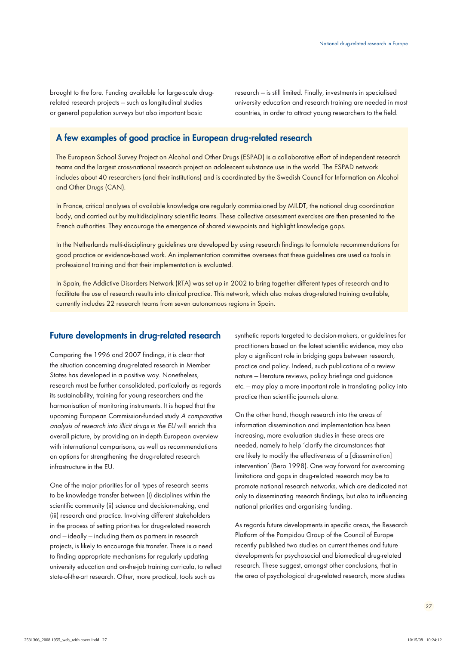brought to the fore. Funding available for large-scale drugrelated research projects — such as longitudinal studies or general population surveys but also important basic

research — is still limited. Finally, investments in specialised university education and research training are needed in most countries, in order to attract young researchers to the field.

#### A few examples of good practice in European drug-related research

The European School Survey Project on Alcohol and Other Drugs (ESPAD) is a collaborative effort of independent research teams and the largest cross-national research project on adolescent substance use in the world. The ESPAD network includes about 40 researchers (and their institutions) and is coordinated by the Swedish Council for Information on Alcohol and Other Drugs (CAN).

In France, critical analyses of available knowledge are regularly commissioned by MILDT, the national drug coordination body, and carried out by multidisciplinary scientific teams. These collective assessment exercises are then presented to the French authorities. They encourage the emergence of shared viewpoints and highlight knowledge gaps.

In the Netherlands multi-disciplinary guidelines are developed by using research findings to formulate recommendations for good practice or evidence-based work. An implementation committee oversees that these guidelines are used as tools in professional training and that their implementation is evaluated.

In Spain, the Addictive Disorders Network (RTA) was set up in 2002 to bring together different types of research and to facilitate the use of research results into clinical practice. This network, which also makes drug-related training available, currently includes 22 research teams from seven autonomous regions in Spain.

#### Future developments in drug-related research

Comparing the 1996 and 2007 findings, it is clear that the situation concerning drug-related research in Member States has developed in a positive way. Nonetheless, research must be further consolidated, particularly as regards its sustainability, training for young researchers and the harmonisation of monitoring instruments. It is hoped that the upcoming European Commission-funded study A comparative analysis of research into illicit drugs in the EU will enrich this overall picture, by providing an in-depth European overview with international comparisons, as well as recommendations on options for strengthening the drug-related research infrastructure in the EU.

One of the major priorities for all types of research seems to be knowledge transfer between (i) disciplines within the scientific community (ii) science and decision-making, and (iii) research and practice. Involving different stakeholders in the process of setting priorities for drug-related research and — ideally — including them as partners in research projects, is likely to encourage this transfer. There is a need to finding appropriate mechanisms for regularly updating university education and on-the-job training curricula, to reflect state-of-the-art research. Other, more practical, tools such as

synthetic reports targeted to decision-makers, or guidelines for practitioners based on the latest scientific evidence, may also play a significant role in bridging gaps between research, practice and policy. Indeed, such publications of a review nature — literature reviews, policy briefings and guidance etc. — may play a more important role in translating policy into practice than scientific journals alone.

On the other hand, though research into the areas of information dissemination and implementation has been increasing, more evaluation studies in these areas are needed, namely to help 'clarify the circumstances that are likely to modify the effectiveness of a [dissemination] intervention' (Bero 1998). One way forward for overcoming limitations and gaps in drug-related research may be to promote national research networks, which are dedicated not only to disseminating research findings, but also to influencing national priorities and organising funding.

As regards future developments in specific areas, the Research Platform of the Pompidou Group of the Council of Europe recently published two studies on current themes and future developments for psychosocial and biomedical drug-related research. These suggest, amongst other conclusions, that in the area of psychological drug-related research, more studies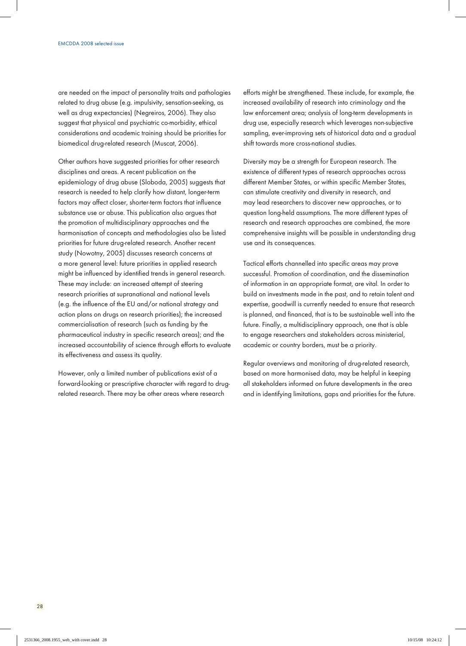are needed on the impact of personality traits and pathologies related to drug abuse (e.g. impulsivity, sensation-seeking, as well as drug expectancies) (Negreiros, 2006). They also suggest that physical and psychiatric co-morbidity, ethical considerations and academic training should be priorities for biomedical drug-related research (Muscat, 2006).

Other authors have suggested priorities for other research disciplines and areas. A recent publication on the epidemiology of drug abuse (Sloboda, 2005) suggests that research is needed to help clarify how distant, longer-term factors may affect closer, shorter-term factors that influence substance use or abuse. This publication also argues that the promotion of multidisciplinary approaches and the harmonisation of concepts and methodologies also be listed priorities for future drug-related research. Another recent study (Nowotny, 2005) discusses research concerns at a more general level: future priorities in applied research might be influenced by identified trends in general research. These may include: an increased attempt of steering research priorities at supranational and national levels (e.g. the influence of the EU and/or national strategy and action plans on drugs on research priorities); the increased commercialisation of research (such as funding by the pharmaceutical industry in specific research areas); and the increased accountability of science through efforts to evaluate its effectiveness and assess its quality.

However, only a limited number of publications exist of a forward-looking or prescriptive character with regard to drugrelated research. There may be other areas where research

efforts might be strengthened. These include, for example, the increased availability of research into criminology and the law enforcement area; analysis of long-term developments in drug use, especially research which leverages non-subjective sampling, ever-improving sets of historical data and a gradual shift towards more cross-national studies.

Diversity may be a strength for European research. The existence of different types of research approaches across different Member States, or within specific Member States, can stimulate creativity and diversity in research, and may lead researchers to discover new approaches, or to question long-held assumptions. The more different types of research and research approaches are combined, the more comprehensive insights will be possible in understanding drug use and its consequences.

Tactical efforts channelled into specific areas may prove successful. Promotion of coordination, and the dissemination of information in an appropriate format, are vital. In order to build on investments made in the past, and to retain talent and expertise, goodwill is currently needed to ensure that research is planned, and financed, that is to be sustainable well into the future. Finally, a multidisciplinary approach, one that is able to engage researchers and stakeholders across ministerial, academic or country borders, must be a priority.

Regular overviews and monitoring of drug-related research, based on more harmonised data, may be helpful in keeping all stakeholders informed on future developments in the area and in identifying limitations, gaps and priorities for the future.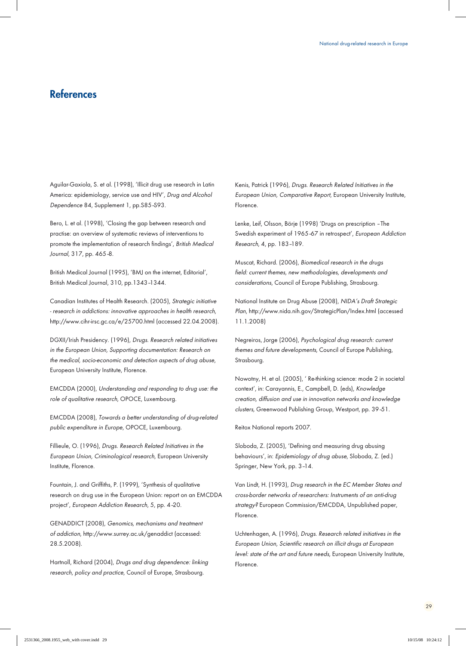## References

Aguilar-Gaxiola, S. et al. (1998), 'Illicit drug use research in Latin America: epidemiology, service use and HIV', Drug and Alcohol Dependence 84, Supplement 1, pp.S85–S93.

Bero, L. et al. (1998), 'Closing the gap between research and practise: an overview of systematic reviews of interventions to promote the implementation of research findings', British Medical Journal, 317, pp. 465–8.

British Medical Journal (1995), 'BMJ on the internet, Editorial', British Medical Journal, 310, pp.1343–1344.

Canadian Institutes of Health Research. (2005), Strategic initiative - research in addictions: innovative approaches in health research, http://www.cihr-irsc.gc.ca/e/25700.html (accessed 22.04.2008).

DGXII/Irish Presidency. (1996), Drugs. Research related initiatives in the European Union, Supporting documentation: Research on the medical, socio-economic and detection aspects of drug abuse, European University Institute, Florence.

EMCDDA (2000), Understanding and responding to drug use: the role of qualitative research, OPOCE, Luxembourg.

EMCDDA (2008), Towards a better understanding of drug-related public expenditure in Europe, OPOCE, Luxembourg.

Fillieule, O. (1996), Drugs. Research Related Initiatives in the European Union, Criminological research, European University Institute, Florence.

Fountain, J. and Griffiths, P. (1999), 'Synthesis of qualitative research on drug use in the European Union: report on an EMCDDA project', European Addiction Research, 5, pp. 4–20.

GENADDICT (2008), Genomics, mechanisms and treatment of addiction, http://www.surrey.ac.uk/genaddict (accessed: 28.5.2008).

Hartnoll, Richard (2004), Drugs and drug dependence: linking research, policy and practice, Council of Europe, Strasbourg.

Kenis, Patrick (1996), Drugs. Research Related Initiatives in the European Union, Comparative Report, European University Institute, Florence.

Lenke, Leif, Olsson, Börje (1998) 'Drugs on prescription – The Swedish experiment of 1965–67 in retrospect', European Addiction Research, 4, pp. 183–189.

Muscat, Richard. (2006), Biomedical research in the drugs field: current themes, new methodologies, developments and considerations, Council of Europe Publishing, Strasbourg.

National Institute on Drug Abuse (2008), NIDA's Draft Strategic Plan, http://www.nida.nih.gov/StrategicPlan/Index.html (accessed 11.1.2008)

Negreiros, Jorge (2006), Psychological drug research: current themes and future developments, Council of Europe Publishing, Strasbourg.

Nowotny, H. et al. (2005), ' Re-thinking science: mode 2 in societal context', in: Carayannis, E., Campbell, D. (eds), Knowledge creation, diffusion and use in innovation networks and knowledge clusters, Greenwood Publishing Group, Westport, pp. 39–51.

Reitox National reports 2007.

Sloboda, Z. (2005), 'Defining and measuring drug abusing behaviours', in: Epidemiology of drug abuse, Sloboda, Z. (ed.) Springer, New York, pp. 3–14.

Van Lindt, H. (1993), Drug research in the EC Member States and cross-border networks of researchers: Instruments of an anti-drug strategy? European Commission/EMCDDA, Unpublished paper, Florence.

Uchtenhagen, A. (1996), Drugs. Research related initiatives in the European Union, Scientific research on illicit drugs at European level: state of the art and future needs, European University Institute, Florence.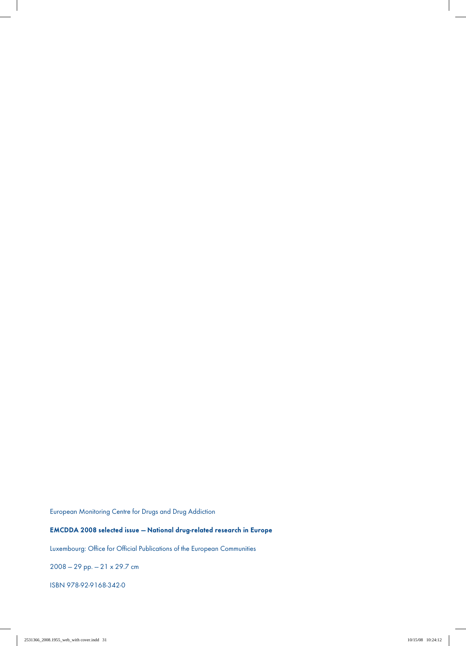European Monitoring Centre for Drugs and Drug Addiction

#### **EMCDDA 2008 selected issue — National drug-related research in Europe**

Luxembourg: Office for Official Publications of the European Communities

2008 — 29 pp. — 21 x 29.7 cm

ISBN 978-92-9168-342-0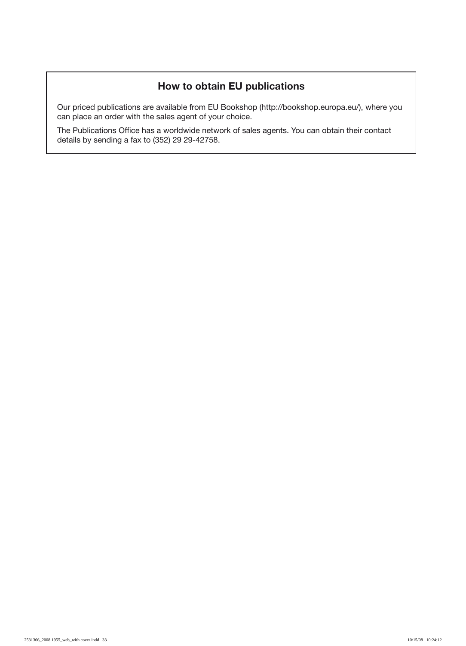# How to obtain EU publications

Our priced publications are available from EU Bookshop (http://bookshop.europa.eu/), where you can place an order with the sales agent of your choice.

The Publications Office has a worldwide network of sales agents. You can obtain their contact details by sending a fax to (352) 29 29-42758.